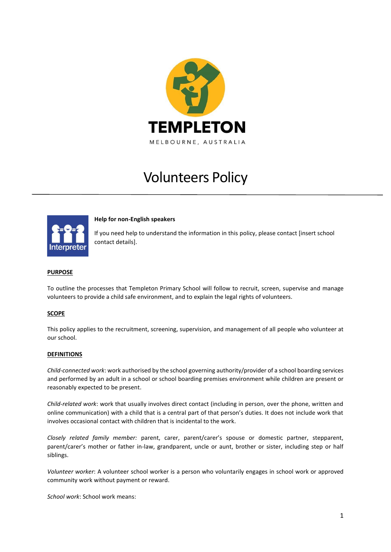

# Volunteers Policy



**Help for non-English speakers**

If you need help to understand the information in this policy, please contact [insert school contact details].

## **PURPOSE**

To outline the processes that Templeton Primary School will follow to recruit, screen, supervise and manage volunteers to provide a child safe environment, and to explain the legal rights of volunteers.

#### **SCOPE**

This policy applies to the recruitment, screening, supervision, and management of all people who volunteer at our school.

#### **DEFINITIONS**

*Child-connected work*: work authorised by the school governing authority/provider of a school boarding services and performed by an adult in a school or school boarding premises environment while children are present or reasonably expected to be present.

*Child-related work*: work that usually involves direct contact (including in person, over the phone, written and online communication) with a child that is a central part of that person's duties. It does not include work that involves occasional contact with children that is incidental to the work.

*Closely related family member:* parent, carer, parent/carer's spouse or domestic partner, stepparent, parent/carer's mother or father in-law, grandparent, uncle or aunt, brother or sister, including step or half siblings.

*Volunteer worker*: A volunteer school worker is a person who voluntarily engages in school work or approved community work without payment or reward.

*School work*: School work means: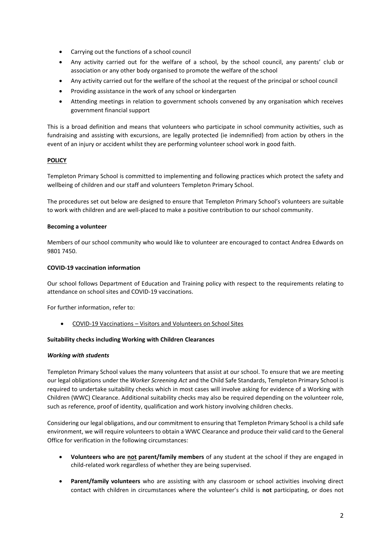- Carrying out the functions of a school council
- Any activity carried out for the welfare of a school, by the school council, any parents' club or association or any other body organised to promote the welfare of the school
- Any activity carried out for the welfare of the school at the request of the principal or school council
- Providing assistance in the work of any school or kindergarten
- Attending meetings in relation to government schools convened by any organisation which receives government financial support

This is a broad definition and means that volunteers who participate in school community activities, such as fundraising and assisting with excursions, are legally protected (ie indemnified) from action by others in the event of an injury or accident whilst they are performing volunteer school work in good faith.

## **POLICY**

Templeton Primary School is committed to implementing and following practices which protect the safety and wellbeing of children and our staff and volunteers Templeton Primary School.

The procedures set out below are designed to ensure that Templeton Primary School's volunteers are suitable to work with children and are well-placed to make a positive contribution to our school community.

## **Becoming a volunteer**

Members of our school community who would like to volunteer are encouraged to contact Andrea Edwards on 9801 7450.

## **COVID-19 vaccination information**

Our school follows Department of Education and Training policy with respect to the requirements relating to attendance on school sites and COVID-19 vaccinations.

For further information, refer to:

• COVID-19 Vaccinations – [Visitors and Volunteers on School Sites](https://www2.education.vic.gov.au/pal/covid-19-vaccinations-visitors-volunteers/policy)

## **Suitability checks including Working with Children Clearances**

## *Working with students*

Templeton Primary School values the many volunteers that assist at our school. To ensure that we are meeting our legal obligations under the *Worker Screening Act* and the Child Safe Standards, Templeton Primary School is required to undertake suitability checks which in most cases will involve asking for evidence of a Working with Children (WWC) Clearance. Additional suitability checks may also be required depending on the volunteer role, such as reference, proof of identity, qualification and work history involving children checks.

Considering our legal obligations, and our commitment to ensuring that Templeton Primary School is a child safe environment, we will require volunteers to obtain a WWC Clearance and produce their valid card to the General Office for verification in the following circumstances:

- **Volunteers who are not parent/family members** of any student at the school if they are engaged in child-related work regardless of whether they are being supervised.
- **Parent/family volunteers** who are assisting with any classroom or school activities involving direct contact with children in circumstances where the volunteer's child is **not** participating, or does not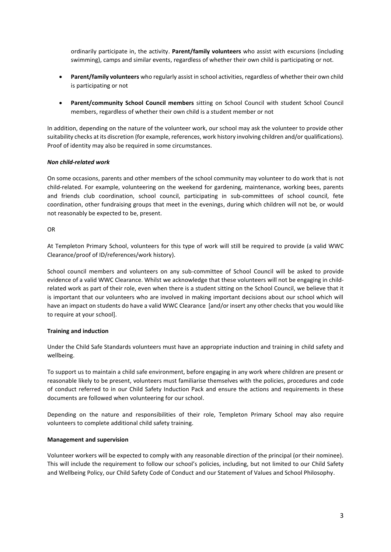ordinarily participate in, the activity. **Parent/family volunteers** who assist with excursions (including swimming), camps and similar events, regardless of whether their own child is participating or not.

- **Parent/family volunteers** who regularly assist in school activities, regardless of whether their own child is participating or not
- **Parent/community School Council members** sitting on School Council with student School Council members, regardless of whether their own child is a student member or not

In addition, depending on the nature of the volunteer work, our school may ask the volunteer to provide other suitability checks at its discretion (for example, references, work history involving children and/or qualifications). Proof of identity may also be required in some circumstances.

## *Non child-related work*

On some occasions, parents and other members of the school community may volunteer to do work that is not child-related. For example, volunteering on the weekend for gardening, maintenance, working bees, parents and friends club coordination, school council, participating in sub-committees of school council, fete coordination, other fundraising groups that meet in the evenings, during which children will not be, or would not reasonably be expected to be, present.

## OR

At Templeton Primary School, volunteers for this type of work will still be required to provide (a valid WWC Clearance/proof of ID/references/work history).

School council members and volunteers on any sub-committee of School Council will be asked to provide evidence of a valid WWC Clearance. Whilst we acknowledge that these volunteers will not be engaging in childrelated work as part of their role, even when there is a student sitting on the School Council, we believe that it is important that our volunteers who are involved in making important decisions about our school which will have an impact on students do have a valid WWC Clearance [and/or insert any other checks that you would like to require at your school].

## **Training and induction**

Under the Child Safe Standards volunteers must have an appropriate induction and training in child safety and wellbeing.

To support us to maintain a child safe environment, before engaging in any work where children are present or reasonable likely to be present, volunteers must familiarise themselves with the policies, procedures and code of conduct referred to in our Child Safety Induction Pack and ensure the actions and requirements in these documents are followed when volunteering for our school.

Depending on the nature and responsibilities of their role, Templeton Primary School may also require volunteers to complete additional child safety training.

## **Management and supervision**

Volunteer workers will be expected to comply with any reasonable direction of the principal (or their nominee). This will include the requirement to follow our school's policies, including, but not limited to our Child Safety and Wellbeing Policy, our Child Safety Code of Conduct and our Statement of Values and School Philosophy.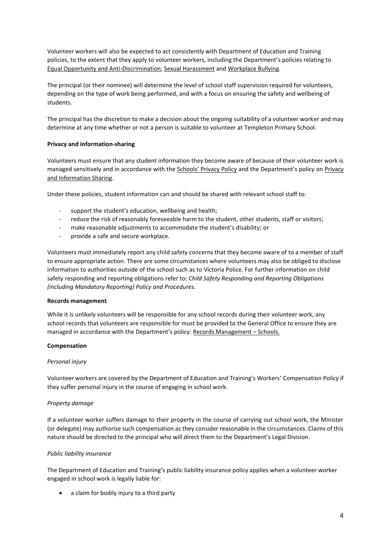Volunteer workers will also be expected to act consistently with Department of Education and Training policies, to the extent that they apply to volunteer workers, including the Department's policies relating to [Equal Opportunity and Anti-Discrimination,](https://www2.education.vic.gov.au/pal/equal-opportunity/policy-and-guidelines) [Sexual Harassment](https://www2.education.vic.gov.au/pal/sexual-harassment/overview) and [Workplace Bullying.](https://www2.education.vic.gov.au/pal/workplace-bullying/policy)

The principal (or their nominee) will determine the level of school staff supervision required for volunteers, depending on the type of work being performed, and with a focus on ensuring the safety and wellbeing of students.

The principal has the discretion to make a decision about the ongoing suitability of a volunteer worker and may determine at any time whether or not a person is suitable to volunteer at Templeton Primary School.

## **Privacy and information-sharing**

Volunteers must ensure that any student information they become aware of because of their volunteer work is managed sensitively and in accordance with the [Schools' Privacy Policy](https://www.education.vic.gov.au/Pages/schoolsprivacypolicy.aspx) and the Department's policy on [Privacy](https://www2.education.vic.gov.au/pal/privacy-information-sharing/policy)  [and Information Sharing.](https://www2.education.vic.gov.au/pal/privacy-information-sharing/policy)

Under these policies, student information can and should be shared with relevant school staff to:

- support the student's education, wellbeing and health;
- reduce the risk of reasonably foreseeable harm to the student, other students, staff or visitors;
- make reasonable adjustments to accommodate the student's disability; or
- provide a safe and secure workplace.

Volunteers must immediately report any child safety concerns that they become aware of to a member of staff to ensure appropriate action. There are some circumstances where volunteers may also be obliged to disclose information to authorities outside of the school such as to Victoria Police. For further information on child safety responding and reporting obligations refer to: *Child Safety Responding and Reporting Obligations (including Mandatory Reporting) Policy and Procedures.* 

#### **Records management**

While it is unlikely volunteers will be responsible for any school records during their volunteer work, any school records that volunteers are responsible for must be provided to the General Office to ensure they are managed in accordance with the Department's policy: [Records Management](https://www2.education.vic.gov.au/pal/records-management/policy) – Schools.

#### **Compensation**

#### *Personal injury*

Volunteer workers are covered by the Department of Education and Training's Workers' Compensation Policy if they suffer personal injury in the course of engaging in school work.

#### *Property damage*

If a volunteer worker suffers damage to their property in the course of carrying out school work, the Minister (or delegate) may authorise such compensation as they consider reasonable in the circumstances. Claims of this nature should be directed to the principal who will direct them to the Department's Legal Division.

#### *Public liability insurance*

The Department of Education and Training's public liability insurance policy applies when a volunteer worker engaged in school work is legally liable for:

• a claim for bodily injury to a third party